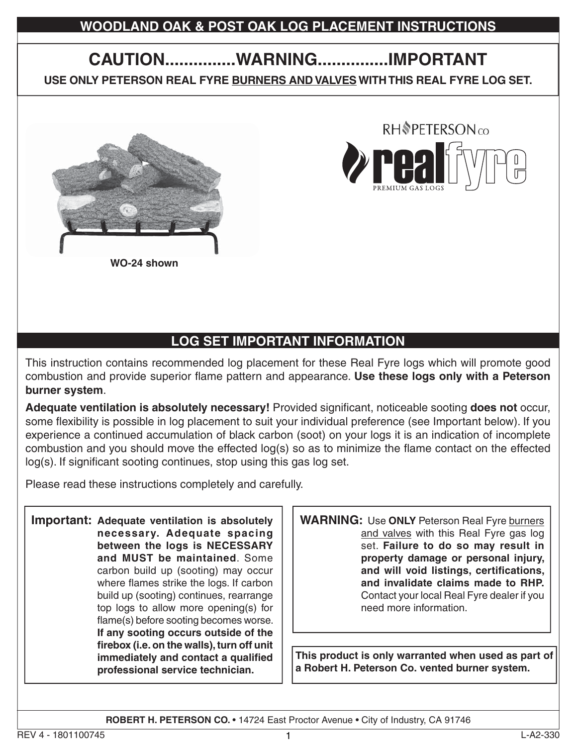#### **WOODLAND OAK & POST OAK LOG PLACEMENT INSTRUCTIONS**

# **CAUTION...............WARNING...............IMPORTANT**

USE ONLY PETERSON REAL FYRE BURNERS AND VALVES WITH THIS REAL FYRE LOG SET.





#### **LOG SET IMPORTANT INFORMATION**

This instruction contains recommended log placement for these Real Fyre logs which will promote good combustion and provide superior flame pattern and appearance. Use these logs only with a Peterson **burner system**.

Adequate ventilation is absolutely necessary! Provided significant, noticeable sooting does not occur, some flexibility is possible in log placement to suit your individual preference (see Important below). If you experience a continued accumulation of black carbon (soot) on your logs it is an indication of incomplete combustion and you should move the effected log(s) so as to minimize the flame contact on the effected log(s). If significant sooting continues, stop using this gas log set.

Please read these instructions completely and carefully.

**Important: Adequate ventilation is absolutely necessary. Adequate spacing between the logs is NECESSARY and MUST be maintained**. Some carbon build up (sooting) may occur where flames strike the logs. If carbon build up (sooting) continues, rearrange top logs to allow more opening(s) for flame(s) before sooting becomes worse. **If any sooting occurs outside of the**  firebox (i.e. on the walls), turn off unit **immediately and contact a qualified professional service technician.**

**WARNING:** Use **ONLY** Peterson Real Fyre burners and valves with this Real Fyre gas log set. **Failure to do so may result in property damage or personal injury,**  and will void listings, certifications, and invalidate claims made to RHP. Contact your local Real Fyre dealer if you need more information.

**This product is only warranted when used as part of a Robert H. Peterson Co. vented burner system.**

**ROBERT H. PETERSON CO.** • 14724 East Proctor Avenue • City of Industry, CA 91746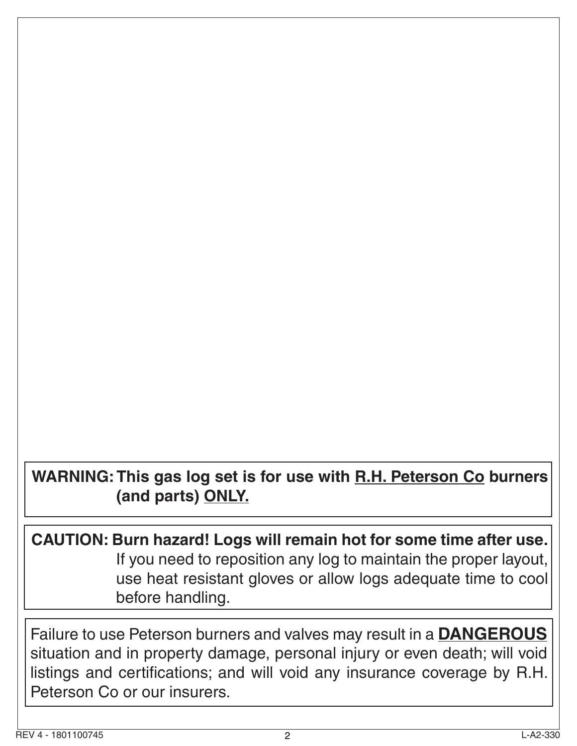# WARNING: This gas log set is for use with **R.H. Peterson Co** burners **(and parts) ONLY.**

**CAUTION: Burn hazard! Logs will remain hot for some time after use.** If you need to reposition any log to maintain the proper layout, use heat resistant gloves or allow logs adequate time to cool before handling.

Failure to use Petersonburners and valves may result in a **DANGEROUS** situation and in property damage, personal injury or even death; will void listings and certifications; and will void any insurance coverage by R.H. Peterson Co or our insurers.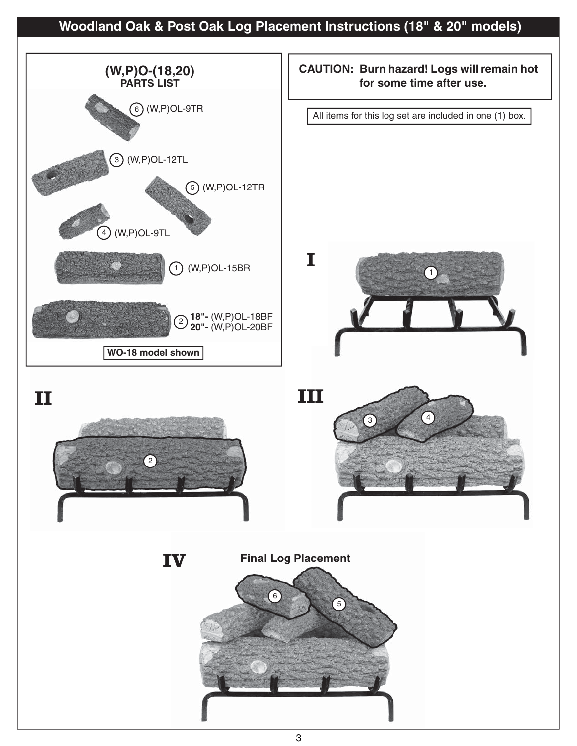**Woodland Oak & Post Oak Log Placement Instructions (18" & 20" models)**

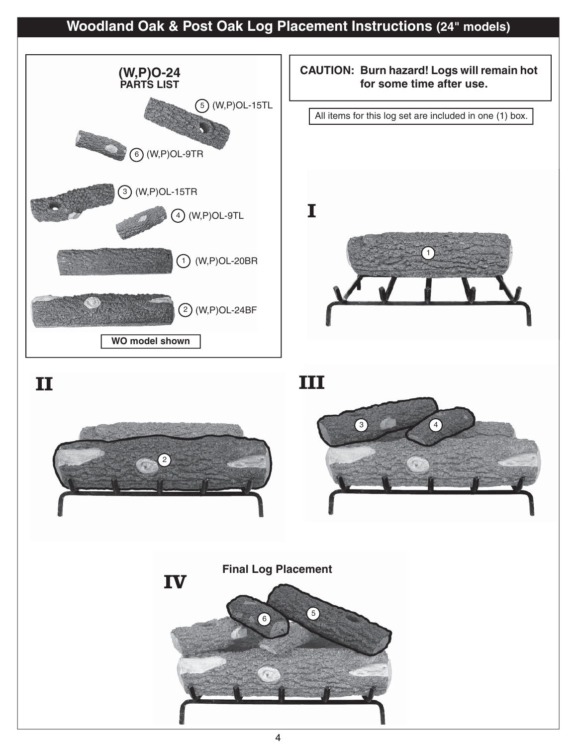### **Woodland Oak & Post Oak Log Placement Instructions (24" models)**









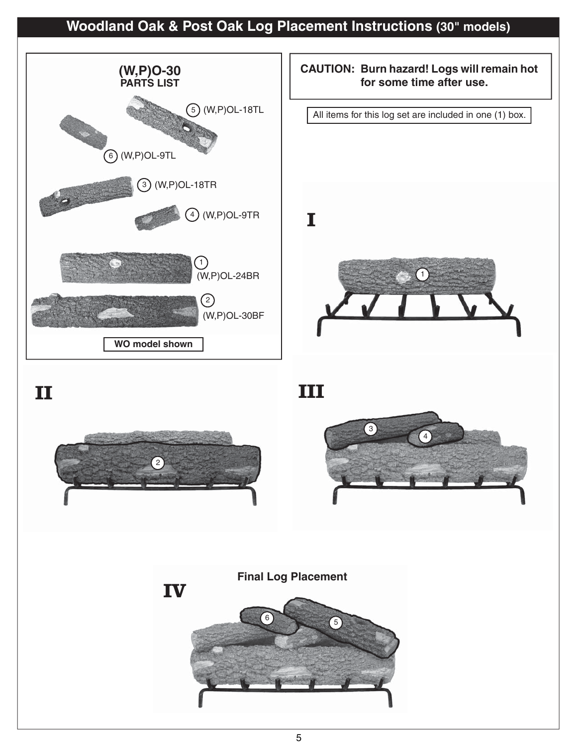## **Woodland Oak & Post Oak Log Placement Instructions (30" models)**





**II III**